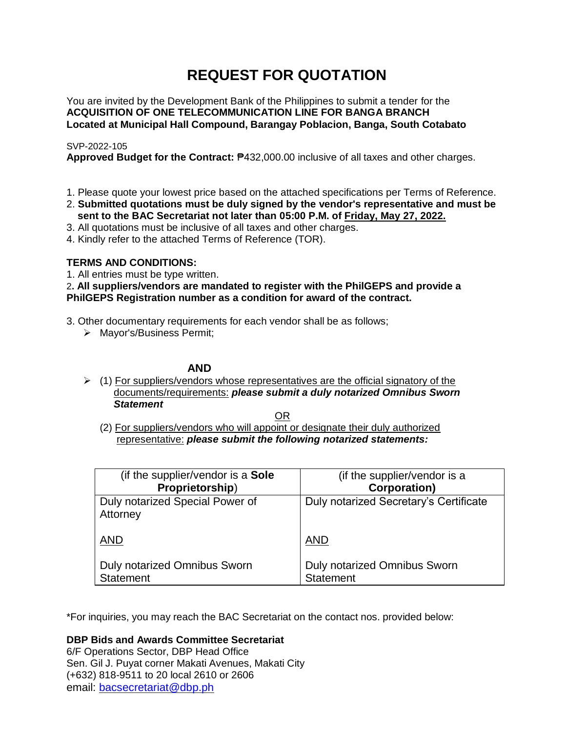# **REQUEST FOR QUOTATION**

You are invited by the Development Bank of the Philippines to submit a tender for the **ACQUISITION OF ONE TELECOMMUNICATION LINE FOR BANGA BRANCH Located at Municipal Hall Compound, Barangay Poblacion, Banga, South Cotabato**

# SVP-2022-105

**Approved Budget for the Contract:** ₱432,000.00 inclusive of all taxes and other charges.

- 1. Please quote your lowest price based on the attached specifications per Terms of Reference.
- 2. **Submitted quotations must be duly signed by the vendor's representative and must be sent to the BAC Secretariat not later than 05:00 P.M. of Friday, May 27, 2022.**
- 3. All quotations must be inclusive of all taxes and other charges.
- 4. Kindly refer to the attached Terms of Reference (TOR).

# **TERMS AND CONDITIONS:**

1. All entries must be type written.

2**. All suppliers/vendors are mandated to register with the PhilGEPS and provide a PhilGEPS Registration number as a condition for award of the contract.**

- 3. Other documentary requirements for each vendor shall be as follows;
	- > Mayor's/Business Permit;

# **AND**

 $\geq$  (1) For suppliers/vendors whose representatives are the official signatory of the documents/requirements: *please submit a duly notarized Omnibus Sworn Statement*

<u>OR Starting and the Starting OR Starting</u>

(2) For suppliers/vendors who will appoint or designate their duly authorized representative: *please submit the following notarized statements:*

| (if the supplier/vendor is a Sole                | (if the supplier/vendor is a                     |
|--------------------------------------------------|--------------------------------------------------|
| Proprietorship)                                  | <b>Corporation)</b>                              |
| Duly notarized Special Power of<br>Attorney      | Duly notarized Secretary's Certificate           |
| <b>AND</b>                                       | <b>AND</b>                                       |
| Duly notarized Omnibus Sworn<br><b>Statement</b> | Duly notarized Omnibus Sworn<br><b>Statement</b> |

\*For inquiries, you may reach the BAC Secretariat on the contact nos. provided below:

**DBP Bids and Awards Committee Secretariat** 

6/F Operations Sector, DBP Head Office Sen. Gil J. Puyat corner Makati Avenues, Makati City (+632) 818-9511 to 20 local 2610 or 2606 email: [bacsecretariat@dbp.ph](mailto:bacsecretariat@dbp.ph)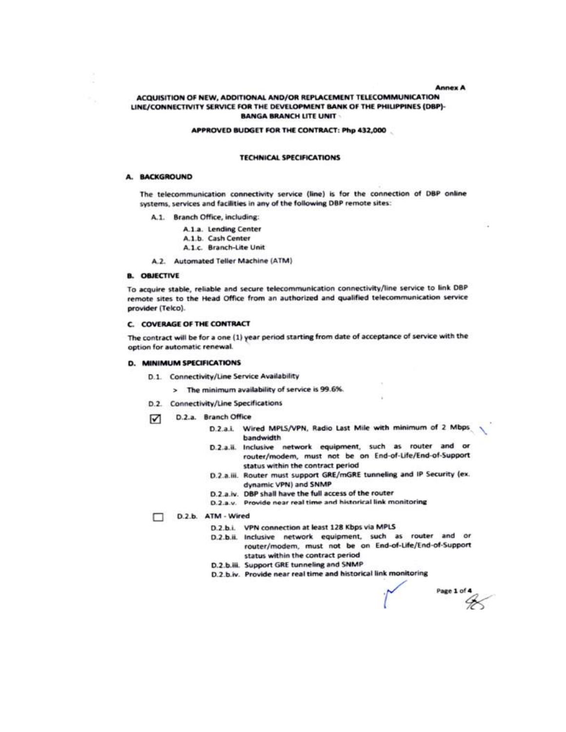#### **Annex A**

#### ACQUISITION OF NEW, ADDITIONAL AND/OR REPLACEMENT TELECOMMUNICATION LINE/CONNECTIVITY SERVICE FOR THE DEVELOPMENT BANK OF THE PHILIPPINES (DBP)-**BANGA BRANCH LITE UNIT**

#### APPROVED BUDGET FOR THE CONTRACT: Php 432,000

#### **TECHNICAL SPECIFICATIONS**

### A. BACKGROUND

The telecommunication connectivity service (line) is for the connection of DBP online systems, services and facilities in any of the following DBP remote sites:

- A.1. Branch Office, including:
	- A.1.a. Lending Center
	- A.1.b. Cash Center
	- A.1.c. Branch-Lite Unit
- A.2. Automated Teller Machine (ATM)

#### **B. OBJECTIVE**

To acquire stable, reliable and secure telecommunication connectivity/line service to link DBP remote sites to the Head Office from an authorized and qualified telecommunication service provider (Telco).

#### **C. COVERAGE OF THE CONTRACT**

The contract will be for a one (1) year period starting from date of acceptance of service with the option for automatic renewal.

#### D. MINIMUM SPECIFICATIONS

- D.1. Connectivity/Line Service Availability
	- > The minimum availability of service is 99.6%.
- D.2. Connectivity/Line Specifications
- D.2.a. Branch Office ☑
	- D.2.a.i. Wired MPLS/VPN, Radio Last Mile with minimum of 2 Mbps bandwidth
	- D.2.a.ii. Inclusive network equipment, such as router and or router/modem, must not be on End-of-Life/End-of-Support status within the contract period
	- D.2.a.iii. Router must support GRE/mGRE tunneling and IP Security (ex. dynamic VPN) and SNMP
	- D.2.a.iv. DBP shall have the full access of the router
	- D.2.a.v. Provide near real time and historical link monitoring

D.2.b. ATM - Wired ⊓

- D.2.b.i. VPN connection at least 128 Kbps via MPLS
- D.2.b.ii. Inclusive network equipment, such as router and or router/modem, must not be on End-of-Life/End-of-Support status within the contract period
- D.2.b.iii. Support GRE tunneling and SNMP
- D.2.b.iv. Provide near real time and historical link monitoring

Page 1 of 4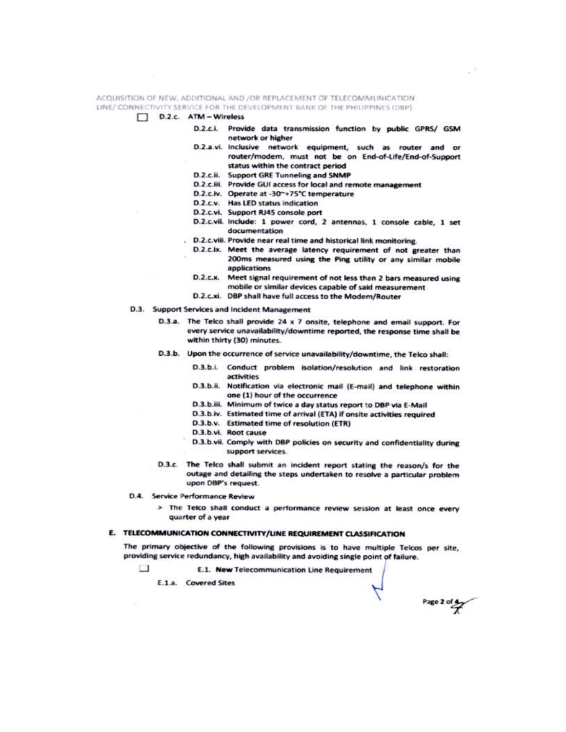ACQUISITION OF NEW, ADDITIONAL AND /OR REPLACEMENT OF TELECOMMUNICATION LINE/ CONNECTIVITY SERVICE FOR THE DEVELOPMENT BANK OF THE PHILIPPINES (DBP)

- D.2.c. ATM Wireless
	- D.2.c.i. Provide data transmission function by public GPRS/ GSM network or higher
	- D.2.a.vi. Inclusive network equipment, such as router and or router/modem, must not be on End-of-Life/End-of-Support status within the contract period
	- D.2.c.ii. Support GRE Tunneling and SNMP
	- D.2.c.iii. Provide GUI access for local and remote management
	- D.2.c.iv. Operate at -30~+75°C temperature
	- D.2.c.v. Has LED status indication
	- D.2.c.vi. Support RJ45 console port
	- D.2.c.vii. Include: 1 power cord, 2 antennas, 1 console cable, 1 set documentation
	- . D.2.c.viii. Provide near real time and historical link monitoring.
		- D.2.c.ix. Meet the average latency requirement of not greater than 200ms measured using the Ping utility or any similar mobile applications
		- D.2.c.x. Meet signal requirement of not less than 2 bars measured using mobile or similar devices capable of said measurement
		- D.2.c.xi. DBP shall have full access to the Modem/Router
- D.3. Support Services and Incident Management
	- D.3.a. The Telco shall provide 24 x 7 onsite, telephone and email support. For every service unavailability/downtime reported, the response time shall be within thirty (30) minutes.
	- D.3.b. Upon the occurrence of service unavailability/downtime, the Telco shall:
		- D.3.b.i. Conduct problem isolation/resolution and link restoration activities
		- D.3.b.ii. Notification via electronic mail (E-mail) and telephone within one (1) hour of the occurrence
		- D.3.b.iii. Minimum of twice a day status report to DBP via E-Mail
		- D.3.b.iv. Estimated time of arrival (ETA) if onsite activities required
		- D.3.b.v. Estimated time of resolution (ETR)
		- D.3.b.vi. Root cause
		- D.3.b.vii. Comply with DBP policies on security and confidentiality during support services.
	- D.3.c. The Telco shall submit an incident report stating the reason/s for the outage and detailing the steps undertaken to resolve a particular problem upon DBP's request.
- D.4. Service Performance Review
	- > The Telco shall conduct a performance review session at least once every quarter of a year

## E. TELECOMMUNICATION CONNECTIVITY/LINE REQUIREMENT CLASSIFICATION

The primary objective of the following provisions is to have multiple Telcos per site, providing service redundancy, high availability and avoiding single point of failure.

 $\Box$ E.1. New Telecommunication Line Requirement

E.1.a. Covered Sites

Page 2 of 4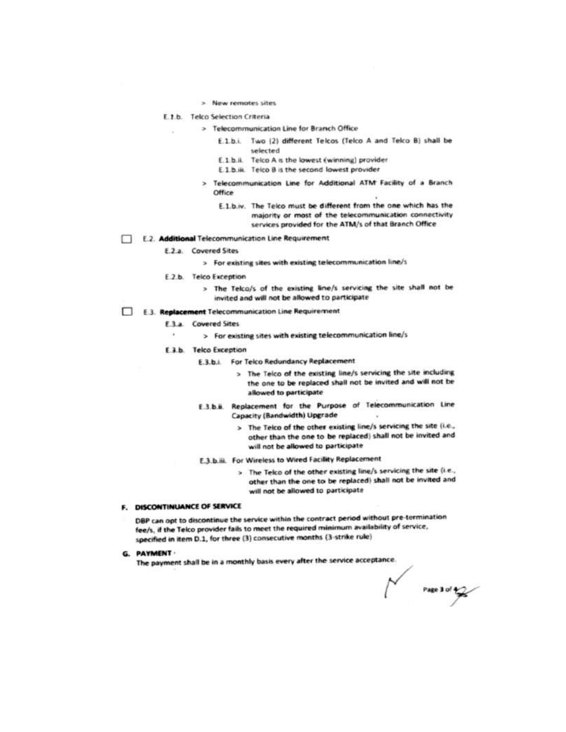- > New remotes sites
- E. t.b. Telco Selection Criteria
	- > Telecommunication Line for Branch Office
		- E.1.b.i. Two (2) different Telcos (Telco A and Telco B) shall be selected
		- E.1.b.ii. Telco A is the lowest (winning) provider
		- E.1.b.iii. Telco B is the second lowest provider
		- > Telecommunication Line for Additional ATM Facility of a Branch Office
			- E.1.b.iv. The Telco must be different from the one which has the majority or most of the telecommunication connectivity services provided for the ATM/s of that Branch Office

#### E.2. Additional Telecommunication Line Requirement

- E.2.a. Covered Sites
	- > For existing sites with existing telecommunication line/s
- E.2.b. Telco Exception
	- > The Telco/s of the existing line/s servicing the site shall not be invited and will not be allowed to participate
- E.3. Replacement Telecommunication Line Requirement
	- E.3.a. Covered Sites
		- > For existing sites with existing telecommunication line/s
	- **E.3.b.** Telco Exception
		- E.3.b.i. For Telco Redundancy Replacement
			- > The Telco of the existing line/s servicing the site including the one to be replaced shall not be invited and will not be allowed to participate
		- E.3.b.ii. Replacement for the Purpose of Telecommunication Line Capacity (Bandwidth) Upgrade 14
			- > The Teico of the other existing line/s servicing the site (i.e., other than the one to be replaced) shall not be invited and will not be allowed to participate
		- E.3.b.iii. For Wireless to Wired Facility Replacement
			- > The Telco of the other existing line/s servicing the site (i.e., other than the one to be replaced) shall not be invited and will not be allowed to participate

## F. DISCONTINUANCE OF SERVICE

DBP can opt to discontinue the service within the contract period without pre-termination fee/s, if the Telco provider fails to meet the required minimum availability of service, specified in item D.1, for three (3) consecutive months (3-strike rule)

G. PAYMENT .

The payment shall be in a monthly basis every after the service acceptance.

Page 3 of the